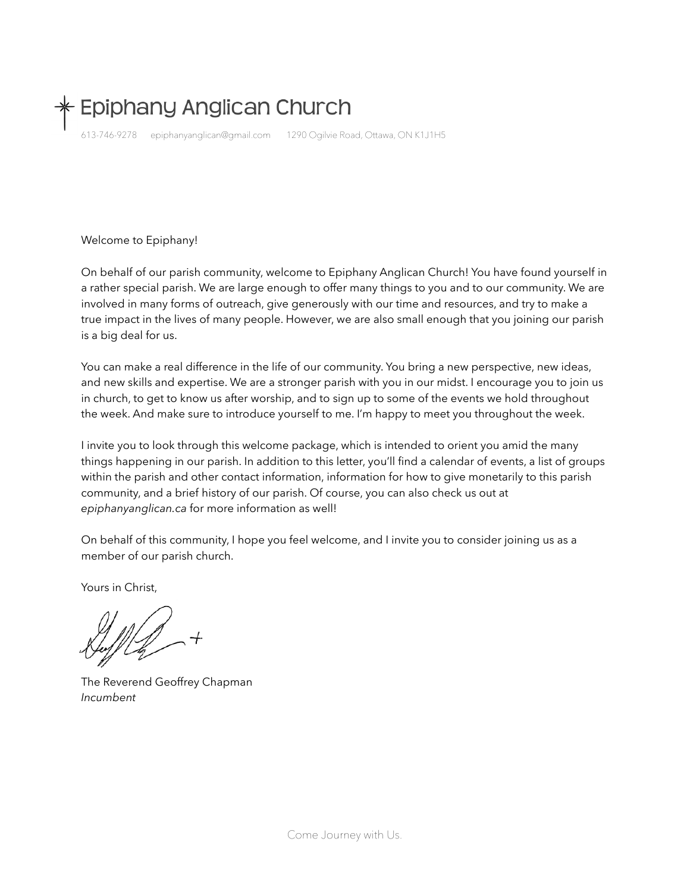# Epiphany Anglican Church

613-746-9278 epiphanyanglican@gmail.com 1290 Ogilvie Road, Ottawa, ON K1J1H5

#### Welcome to Epiphany!

On behalf of our parish community, welcome to Epiphany Anglican Church! You have found yourself in a rather special parish. We are large enough to offer many things to you and to our community. We are involved in many forms of outreach, give generously with our time and resources, and try to make a true impact in the lives of many people. However, we are also small enough that you joining our parish is a big deal for us.

You can make a real difference in the life of our community. You bring a new perspective, new ideas, and new skills and expertise. We are a stronger parish with you in our midst. I encourage you to join us in church, to get to know us after worship, and to sign up to some of the events we hold throughout the week. And make sure to introduce yourself to me. I'm happy to meet you throughout the week.

I invite you to look through this welcome package, which is intended to orient you amid the many things happening in our parish. In addition to this letter, you'll find a calendar of events, a list of groups within the parish and other contact information, information for how to give monetarily to this parish community, and a brief history of our parish. Of course, you can also check us out at *epiphanyanglican.ca* for more information as well!

On behalf of this community, I hope you feel welcome, and I invite you to consider joining us as a member of our parish church.

Yours in Christ,

The Reverend Geoffrey Chapman *Incumbent*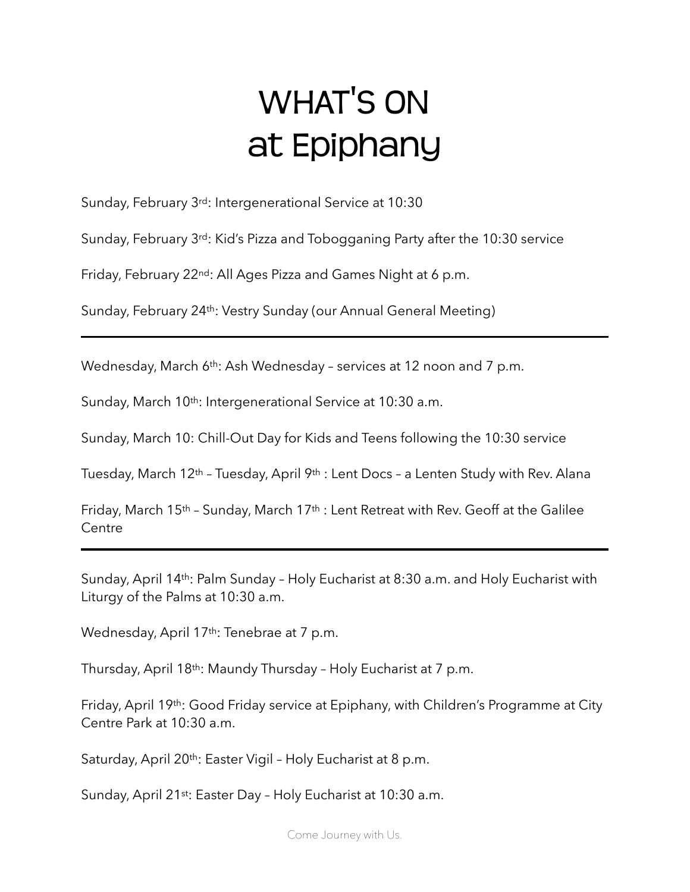# WHAT'S ON at Epiphany

Sunday, February 3rd: Intergenerational Service at 10:30

Sunday, February 3rd: Kid's Pizza and Tobogganing Party after the 10:30 service

Friday, February 22nd: All Ages Pizza and Games Night at 6 p.m.

Sunday, February 24th: Vestry Sunday (our Annual General Meeting)

Wednesday, March 6th: Ash Wednesday – services at 12 noon and 7 p.m.

Sunday, March 10<sup>th</sup>: Intergenerational Service at 10:30 a.m.

Sunday, March 10: Chill-Out Day for Kids and Teens following the 10:30 service

Tuesday, March 12th – Tuesday, April 9th : Lent Docs – a Lenten Study with Rev. Alana

Friday, March 15<sup>th</sup> - Sunday, March 17<sup>th</sup> : Lent Retreat with Rev. Geoff at the Galilee **Centre** 

Sunday, April 14th: Palm Sunday – Holy Eucharist at 8:30 a.m. and Holy Eucharist with Liturgy of the Palms at 10:30 a.m.

Wednesday, April 17<sup>th</sup>: Tenebrae at 7 p.m.

Thursday, April 18th: Maundy Thursday – Holy Eucharist at 7 p.m.

Friday, April 19th: Good Friday service at Epiphany, with Children's Programme at City Centre Park at 10:30 a.m.

Saturday, April 20<sup>th</sup>: Easter Vigil - Holy Eucharist at 8 p.m.

Sunday, April 21st: Easter Day - Holy Eucharist at 10:30 a.m.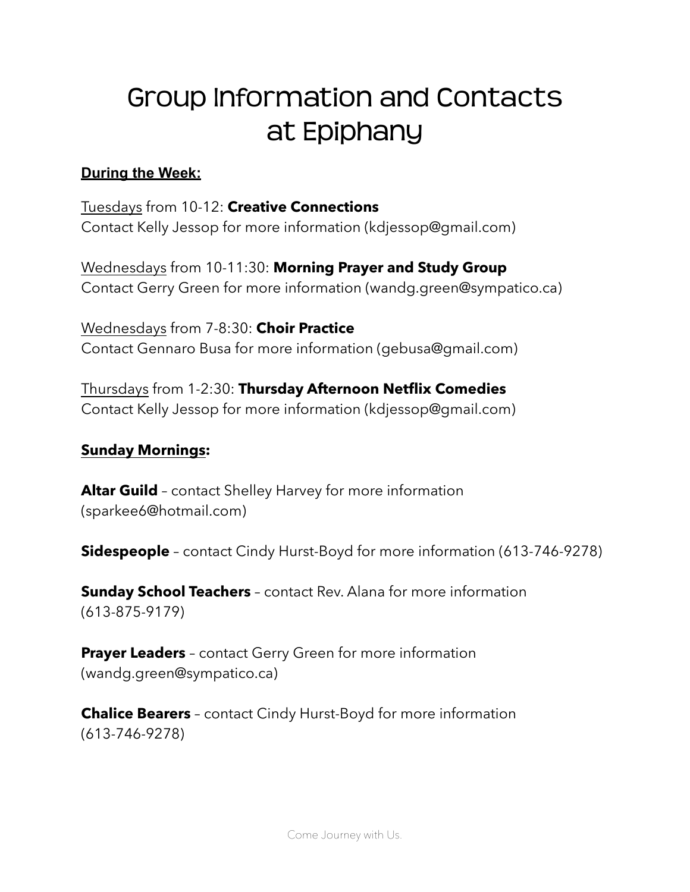# Group Information and Contacts at Epiphany

## **During the Week:**

Tuesdays from 10-12: **Creative Connections** Contact Kelly Jessop for more information ([kdjessop@gmail.com\)](mailto:kdjessop@gmail.com)

Wednesdays from 10-11:30: **Morning Prayer and Study Group** Contact Gerry Green for more information [\(wandg.green@sympatico.ca\)](mailto:wandg.green@sympatico.ca)

Wednesdays from 7-8:30: **Choir Practice** Contact Gennaro Busa for more information [\(gebusa@gmail.com\)](mailto:gebusa@gmail.com)

Thursdays from 1-2:30: **Thursday Afternoon Netflix Comedies** Contact Kelly Jessop for more information ([kdjessop@gmail.com\)](mailto:kdjessop@gmail.com)

### **Sunday Mornings:**

**Altar Guild** – contact Shelley Harvey for more information ([sparkee6@hotmail.com\)](mailto:sparkee6@hotmail.com)

**Sidespeople** – contact Cindy Hurst-Boyd for more information (613-746-9278)

**Sunday School Teachers** – contact Rev. Alana for more information (613-875-9179)

**Prayer Leaders** – contact Gerry Green for more information (wandg.green@sympatico.ca)

**Chalice Bearers** – contact Cindy Hurst-Boyd for more information (613-746-9278)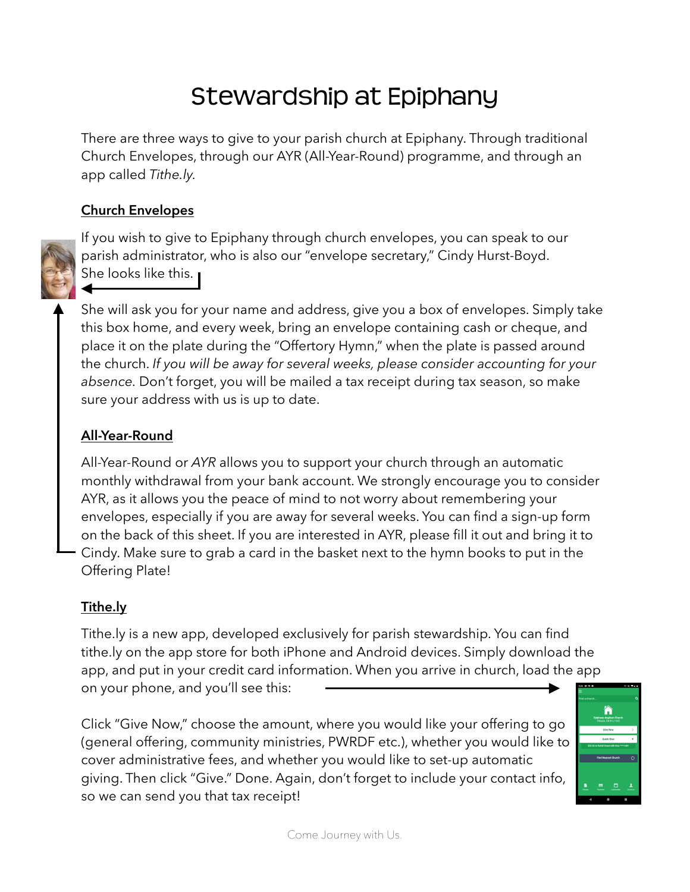# Stewardship at Epiphany

There are three ways to give to your parish church at Epiphany. Through traditional Church Envelopes, through our AYR (All-Year-Round) programme, and through an app called *Tithe.ly.* 

## **Church Envelopes**

If you wish to give to Epiphany through church envelopes, you can speak to our parish administrator, who is also our "envelope secretary," Cindy Hurst-Boyd. She looks like this.

She will ask you for your name and address, give you a box of envelopes. Simply take this box home, and every week, bring an envelope containing cash or cheque, and place it on the plate during the "Offertory Hymn," when the plate is passed around the church. *If you will be away for several weeks, please consider accounting for your absence.* Don't forget, you will be mailed a tax receipt during tax season, so make sure your address with us is up to date.

# **All-Year-Round**

All-Year-Round or *AYR* allows you to support your church through an automatic monthly withdrawal from your bank account. We strongly encourage you to consider AYR, as it allows you the peace of mind to not worry about remembering your envelopes, especially if you are away for several weeks. You can find a sign-up form on the back of this sheet. If you are interested in AYR, please fill it out and bring it to Cindy. Make sure to grab a card in the basket next to the hymn books to put in the Offering Plate!

### **Tithe.ly**

Tithe.ly is a new app, developed exclusively for parish stewardship. You can find tithe.ly on the app store for both iPhone and Android devices. Simply download the app, and put in your credit card information. When you arrive in church, load the app on your phone, and you'll see this:

Click "Give Now," choose the amount, where you would like your offering to go (general offering, community ministries, PWRDF etc.), whether you would like to cover administrative fees, and whether you would like to set-up automatic giving. Then click "Give." Done. Again, don't forget to include your contact info, so we can send you that tax receipt!

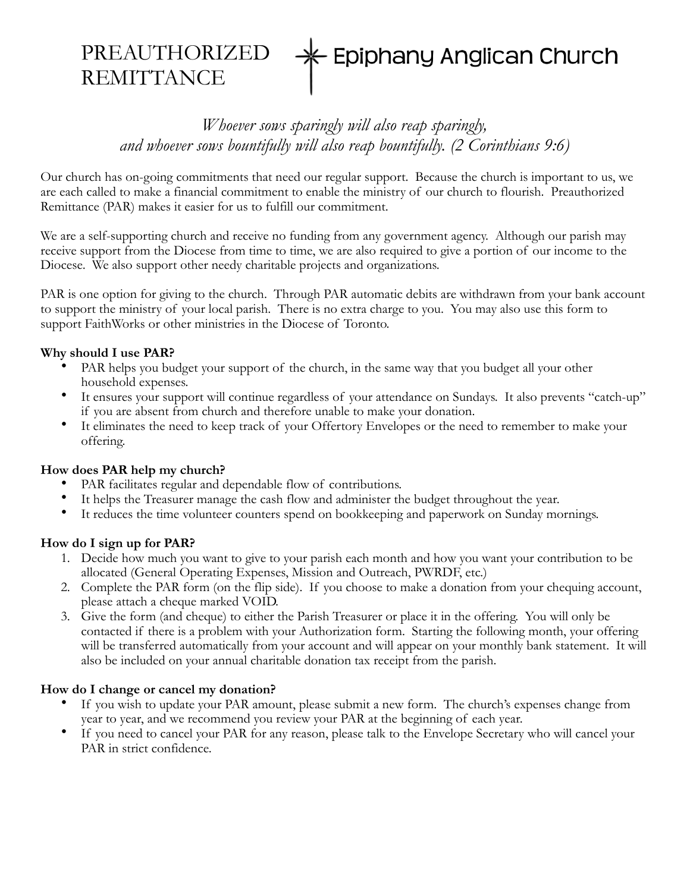#### PREAUTHORIZED - Epiphany Anglican Church **REMITTANCE**

# *Whoever sows sparingly will also reap sparingly, and whoever sows bountifully will also reap bountifully. (2 Corinthians 9:6)*

Our church has on-going commitments that need our regular support. Because the church is important to us, we are each called to make a financial commitment to enable the ministry of our church to flourish. Preauthorized Remittance (PAR) makes it easier for us to fulfill our commitment.

We are a self-supporting church and receive no funding from any government agency. Although our parish may receive support from the Diocese from time to time, we are also required to give a portion of our income to the Diocese. We also support other needy charitable projects and organizations.

PAR is one option for giving to the church. Through PAR automatic debits are withdrawn from your bank account to support the ministry of your local parish. There is no extra charge to you. You may also use this form to support FaithWorks or other ministries in the Diocese of Toronto.

#### **Why should I use PAR?**

- PAR helps you budget your support of the church, in the same way that you budget all your other household expenses.
- It ensures your support will continue regardless of your attendance on Sundays. It also prevents "catch-up" if you are absent from church and therefore unable to make your donation.
- It eliminates the need to keep track of your Offertory Envelopes or the need to remember to make your offering.

#### **How does PAR help my church?**

- PAR facilitates regular and dependable flow of contributions.
- It helps the Treasurer manage the cash flow and administer the budget throughout the year.
- It reduces the time volunteer counters spend on bookkeeping and paperwork on Sunday mornings.

#### **How do I sign up for PAR?**

- 1. Decide how much you want to give to your parish each month and how you want your contribution to be allocated (General Operating Expenses, Mission and Outreach, PWRDF, etc.)
- 2. Complete the PAR form (on the flip side). If you choose to make a donation from your chequing account, please attach a cheque marked VOID.
- 3. Give the form (and cheque) to either the Parish Treasurer or place it in the offering. You will only be contacted if there is a problem with your Authorization form. Starting the following month, your offering will be transferred automatically from your account and will appear on your monthly bank statement. It will also be included on your annual charitable donation tax receipt from the parish.

#### **How do I change or cancel my donation?**

- If you wish to update your PAR amount, please submit a new form. The church's expenses change from year to year, and we recommend you review your PAR at the beginning of each year.
- If you need to cancel your PAR for any reason, please talk to the Envelope Secretary who will cancel your PAR in strict confidence.